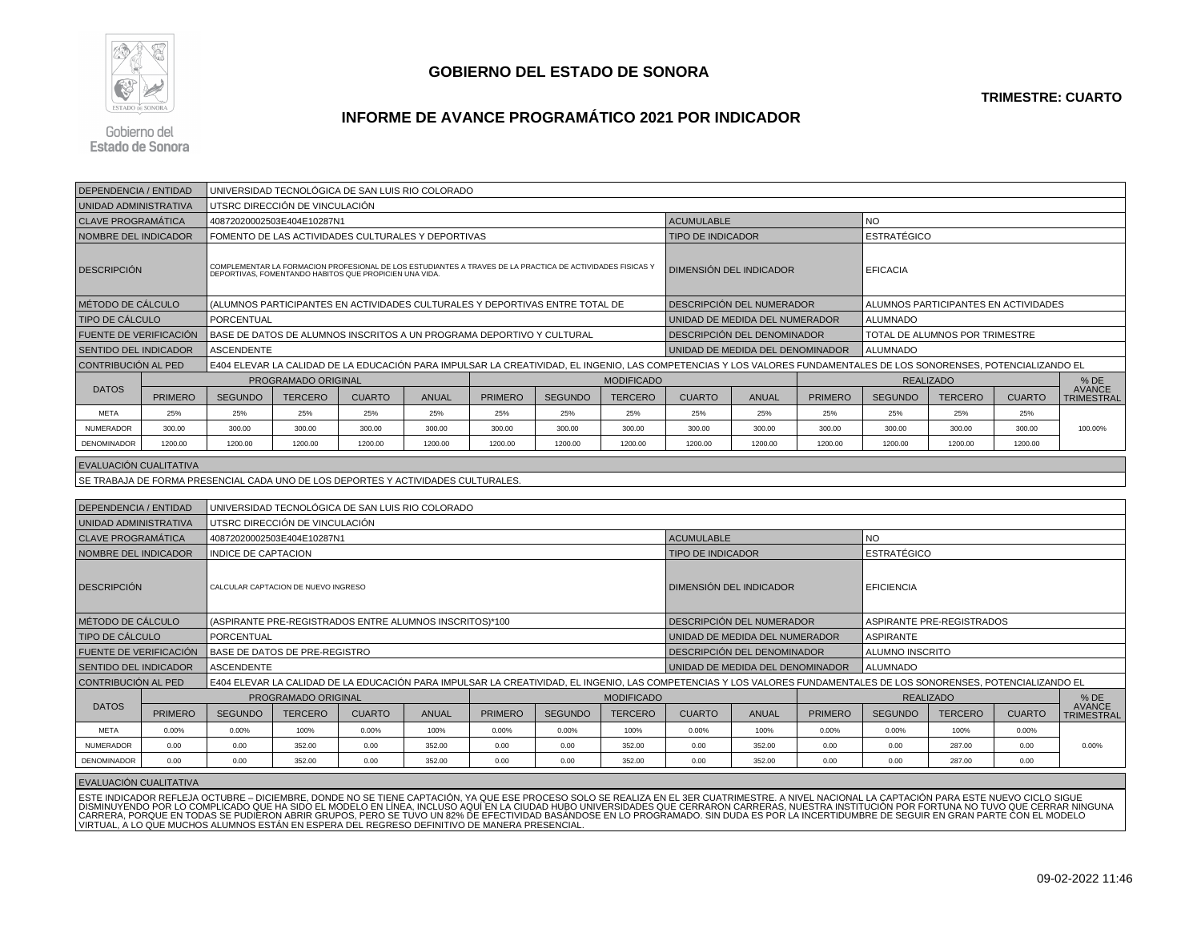

#### **INFORME DE AVANCE PROGRAMÁTICO 2021 POR INDICADOR**

Gobierno del **Estado de Sonora** 

| <b>DEPENDENCIA / ENTIDAD</b>  |                                                                       |                                                                                   | UNIVERSIDAD TECNOLÓGICA DE SAN LUIS RIO COLORADO                                                                                                                    |               |              |                |                |                   |                                                                                                                                                                     |                             |                |                    |                                      |               |                                    |  |
|-------------------------------|-----------------------------------------------------------------------|-----------------------------------------------------------------------------------|---------------------------------------------------------------------------------------------------------------------------------------------------------------------|---------------|--------------|----------------|----------------|-------------------|---------------------------------------------------------------------------------------------------------------------------------------------------------------------|-----------------------------|----------------|--------------------|--------------------------------------|---------------|------------------------------------|--|
| UNIDAD ADMINISTRATIVA         |                                                                       |                                                                                   | UTSRC DIRECCIÓN DE VINCULACIÓN                                                                                                                                      |               |              |                |                |                   |                                                                                                                                                                     |                             |                |                    |                                      |               |                                    |  |
| <b>CLAVE PROGRAMÁTICA</b>     |                                                                       |                                                                                   | 40872020002503E404E10287N1                                                                                                                                          |               |              |                |                |                   | <b>ACUMULABLE</b>                                                                                                                                                   |                             |                | <b>NO</b>          |                                      |               |                                    |  |
| NOMBRE DEL INDICADOR          |                                                                       |                                                                                   | FOMENTO DE LAS ACTIVIDADES CULTURALES Y DEPORTIVAS                                                                                                                  |               |              |                |                |                   | <b>TIPO DE INDICADOR</b>                                                                                                                                            |                             |                | <b>ESTRATÉGICO</b> |                                      |               |                                    |  |
| <b>DESCRIPCIÓN</b>            |                                                                       |                                                                                   | COMPLEMENTAR LA FORMACION PROFESIONAL DE LOS ESTUDIANTES A TRAVES DE LA PRACTICA DE ACTIVIDADES FISICAS Y<br>DEPORTIVAS, FOMENTANDO HABITOS QUE PROPICIEN UNA VIDA. |               |              |                |                |                   | DIMENSIÓN DEL INDICADOR                                                                                                                                             |                             |                | <b>EFICACIA</b>    |                                      |               |                                    |  |
| MÉTODO DE CÁLCULO             |                                                                       |                                                                                   | (ALUMNOS PARTICIPANTES EN ACTIVIDADES CULTURALES Y DEPORTIVAS ENTRE TOTAL DE                                                                                        |               |              |                |                |                   | DESCRIPCIÓN DEL NUMERADOR                                                                                                                                           |                             |                |                    | ALUMNOS PARTICIPANTES EN ACTIVIDADES |               |                                    |  |
| <b>TIPO DE CÁLCULO</b>        |                                                                       | PORCENTUAL                                                                        |                                                                                                                                                                     |               |              |                |                |                   | UNIDAD DE MEDIDA DEL NUMERADOR                                                                                                                                      |                             |                | <b>ALUMNADO</b>    |                                      |               |                                    |  |
| <b>FUENTE DE VERIFICACIÓN</b> | BASE DE DATOS DE ALUMNOS INSCRITOS A UN PROGRAMA DEPORTIVO Y CULTURAL |                                                                                   |                                                                                                                                                                     |               |              |                |                |                   |                                                                                                                                                                     | DESCRIPCIÓN DEL DENOMINADOR |                |                    | TOTAL DE ALUMNOS POR TRIMESTRE       |               |                                    |  |
|                               | <b>ASCENDENTE</b><br><b>SENTIDO DEL INDICADOR</b>                     |                                                                                   |                                                                                                                                                                     |               |              |                |                |                   | UNIDAD DE MEDIDA DEL DENOMINADOR                                                                                                                                    |                             |                | <b>ALUMNADO</b>    |                                      |               |                                    |  |
| CONTRIBUCIÓN AL PED           |                                                                       |                                                                                   |                                                                                                                                                                     |               |              |                |                |                   | E404 ELEVAR LA CALIDAD DE LA EDUCACIÓN PARA IMPULSAR LA CREATIVIDAD, EL INGENIO, LAS COMPETENCIAS Y LOS VALORES FUNDAMENTALES DE LOS SONORENSES, POTENCIALIZANDO EL |                             |                |                    |                                      |               |                                    |  |
|                               |                                                                       |                                                                                   | PROGRAMADO ORIGINAL                                                                                                                                                 |               |              |                |                | <b>MODIFICADO</b> |                                                                                                                                                                     |                             |                | <b>REALIZADO</b>   |                                      |               | $%$ DE                             |  |
| <b>DATOS</b>                  | <b>PRIMERO</b>                                                        | <b>SEGUNDO</b>                                                                    | <b>TERCERO</b>                                                                                                                                                      | <b>CUARTO</b> | <b>ANUAL</b> | <b>PRIMERO</b> | <b>SEGUNDO</b> | <b>TERCERO</b>    | <b>CUARTO</b>                                                                                                                                                       | <b>ANUAL</b>                | <b>PRIMERO</b> | <b>SEGUNDO</b>     | <b>TERCERO</b>                       | <b>CUARTO</b> | <b>AVANCE</b><br><b>TRIMESTRAL</b> |  |
| <b>META</b>                   | 25%                                                                   | 25%                                                                               | 25%                                                                                                                                                                 | 25%           | 25%          | 25%            | 25%            | 25%               | 25%                                                                                                                                                                 | 25%                         | 25%            | 25%                | 25%                                  | 25%           |                                    |  |
| <b>NUMERADOR</b>              | 300.00                                                                | 300.00                                                                            | 300.00                                                                                                                                                              | 300.00        | 300.00       | 300.00         | 300.00         | 300.00            | 300.00                                                                                                                                                              | 300.00                      | 300.00         | 300.00             | 300.00                               | 300.00        | 100.00%                            |  |
| <b>DENOMINADOR</b>            | 1200.00                                                               | 1200.00                                                                           | 1200.00                                                                                                                                                             | 1200.00       | 1200.00      | 1200.00        | 1200.00        | 1200.00           | 1200.00                                                                                                                                                             | 1200.00                     | 1200.00        | 1200.00            | 1200.00                              | 1200.00       |                                    |  |
| EVALUACIÓN CUALITATIVA        |                                                                       |                                                                                   |                                                                                                                                                                     |               |              |                |                |                   |                                                                                                                                                                     |                             |                |                    |                                      |               |                                    |  |
|                               |                                                                       | SE TRABAJA DE FORMA PRESENCIAL CADA UNO DE LOS DEPORTES Y ACTIVIDADES CULTURALES. |                                                                                                                                                                     |               |              |                |                |                   |                                                                                                                                                                     |                             |                |                    |                                      |               |                                    |  |
|                               |                                                                       |                                                                                   |                                                                                                                                                                     |               |              |                |                |                   |                                                                                                                                                                     |                             |                |                    |                                      |               |                                    |  |
| <b>DEPENDENCIA / ENTIDAD</b>  |                                                                       |                                                                                   | UNIVERSIDAD TECNOLÓGICA DE SAN LUIS RIO COLORADO                                                                                                                    |               |              |                |                |                   |                                                                                                                                                                     |                             |                |                    |                                      |               |                                    |  |
| UNIDAD ADMINISTRATIVA         |                                                                       |                                                                                   | UTSRC DIRECCIÓN DE VINCULACIÓN                                                                                                                                      |               |              |                |                |                   |                                                                                                                                                                     |                             |                |                    |                                      |               |                                    |  |
| <b>CLAVE PROGRAMÁTICA</b>     |                                                                       |                                                                                   | 40872020002503E404E10287N1                                                                                                                                          |               |              |                |                |                   | <b>ACUMULABLE</b>                                                                                                                                                   |                             |                | <b>NO</b>          |                                      |               |                                    |  |
| <b>NOMBRE DEL INDICADOR</b>   |                                                                       | <b>INDICE DE CAPTACION</b>                                                        |                                                                                                                                                                     |               |              |                |                |                   | <b>TIPO DE INDICADOR</b>                                                                                                                                            |                             |                | <b>ESTRATÉGICO</b> |                                      |               |                                    |  |
| <b>DESCRIPCIÓN</b>            |                                                                       |                                                                                   | CALCULAR CAPTACION DE NUEVO INGRESO                                                                                                                                 |               |              |                |                |                   | <b>DIMENSIÓN DEL INDICADOR</b>                                                                                                                                      |                             |                | <b>EFICIENCIA</b>  |                                      |               |                                    |  |
| <b>MÉTODO DE CÁLCULO</b>      |                                                                       |                                                                                   | (ASPIRANTE PRE-REGISTRADOS ENTRE ALUMNOS INSCRITOS)*100                                                                                                             |               |              |                |                |                   | DESCRIPCIÓN DEL NUMERADOR                                                                                                                                           |                             |                |                    | ASPIRANTE PRE-REGISTRADOS            |               |                                    |  |
|                               |                                                                       |                                                                                   |                                                                                                                                                                     |               |              |                |                |                   |                                                                                                                                                                     |                             |                |                    |                                      |               |                                    |  |

EVALUACIÓN CUALITATIVA

TIPO DE CÁLCULO

DATOS

META

NUMERADOR

DENOMINADOR

FUENTE DE VERIFICACIÓN

PRIMERO

0.00%

SENTIDO DEL INDICADOR

CONTRIBUCIÓN AL PED

BASE DE DATOS DE PRE-REGISTRO<br>ASCENDENTE

PROGRAMADO ORIGINAL

ESTE INDICADOR REFLEJA OCTUBRE – DICIEMBRE, DONDE NO SE TIENE CAPTACIÓN, YA QUE ESE PROCESO SOLO SE REALIZA EN EL 3ER CUATRIMESTRE. A NIVEL NACIONAL LA CAPTACIÓN PARA ESTE NUEVO CICLO SIGUE<br>DISMINUYENDO POR LO COMPLICADO Q

0.00 0.00 352.00 0.00 352.00 0.00 0.00 352.00 0.00 352.00 0.00 0.00 287.00 0.00

 $\%$  0.00% 100% 0.00% 100% 0.00% 0.00% 100% 0.00% 100% 0.00% 0.00% 0.00% 100% 0.00% 0.00% 0.00%

R | 0.00 | 0.00 | 352.00 | 0.00 | 352.00 | 0.00 | 352.00 | 0.00 | 352.00 | 0.00 | 0.00 | 0.00 | 0.00 | 0.00% | 0.00% | 0.00% | 0.00% | 0.00% | 0.00% | 0.00% | 0.00% | 0.00% | 0.00% | 0.00% | 0.00% | 0.00% | 0.00% | 0.00% |

PORCENTUAL POR EN ENGENERO EL DENOMINADO DE MEDIDA DEL DENOMINADOR ASPIRANTE EL DENOMINADOR EL DENOMINADOR ASPIRANTE<br>PER EL DE DATOS DE PRE-REGISTRO

E404 ELEVAR LA CALIDAD DE LA EDUCACIÓN PARA IMPULSAR LA CREATIVIDAD, EL INGENIO, LAS COMPETENCIAS Y LOS VALORES FUNDAMENTALES DE LOS SONORENSES, POTENCIALIZANDO EL

MODIFICADO

O SEGUNDO TERCERO CUARTO ANUAL PRIMERO SEGUNDO TERCERO CUARTO ANUAL PRIMERO SEGUNDO TERCERO CUARTO TRIMESTRAL

DESCRIPCIÓN DEL DENOMINADOR ALUMNO INSTRUITO ALUMNO INSTRUITO ALUMNO INSTRUITO ALUMNO INSTRUITO ALUMNO INSTRUIT<br>CONDAD DE MEDIDA DEL DENOMINADOR ALUMNADO

REALIZADO % DE

UNIDAD DE MEDIDA DEL DENOMINADOR

% DE<br>AVANCE TRIMESTRAL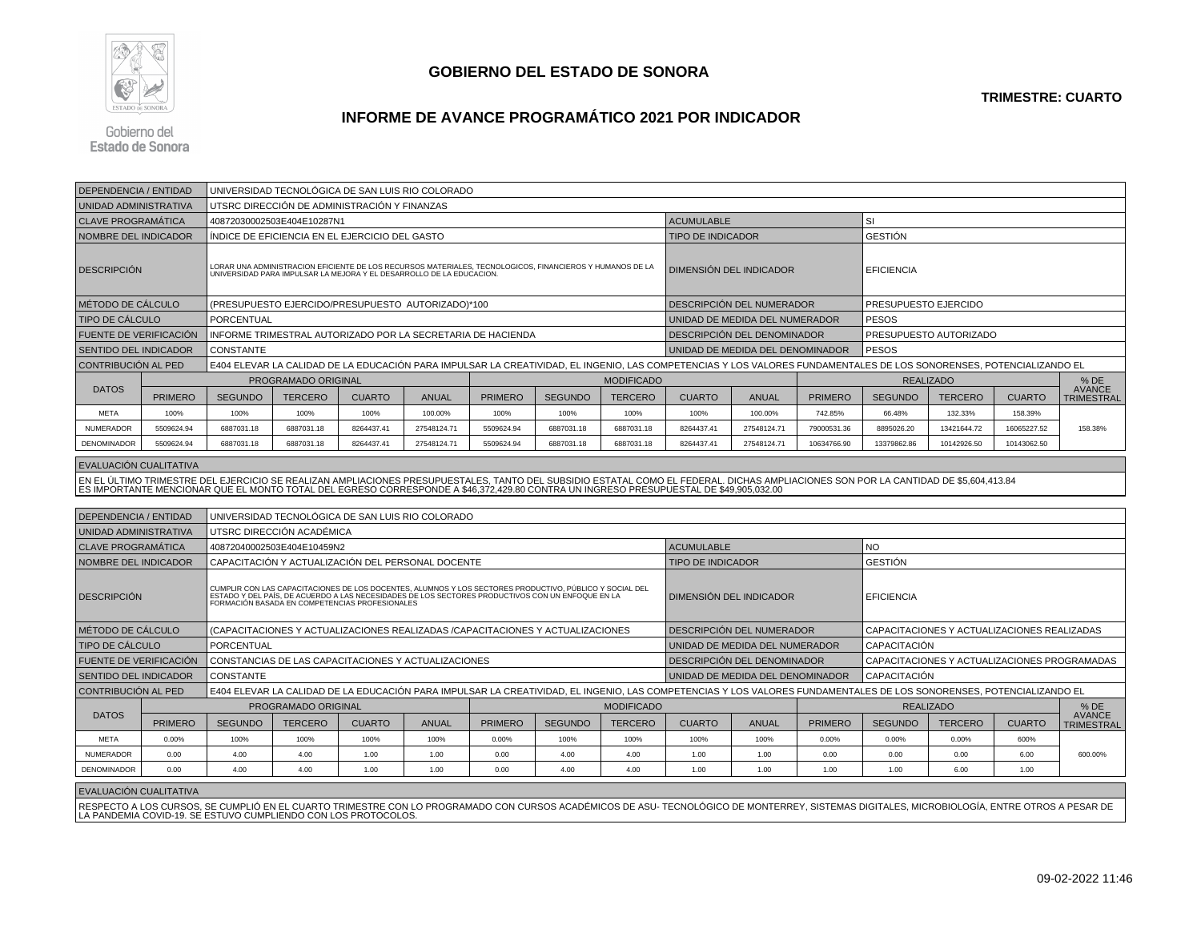

# **INFORME DE AVANCE PROGRAMÁTICO 2021 POR INDICADOR**

Gobierno del **Estado de Sonora** 

| <b>DEPENDENCIA / ENTIDAD</b>                                                                                                          |                | UNIVERSIDAD TECNOLÓGICA DE SAN LUIS RIO COLORADO                                                                                                                    |                                                     |               |              |                                                                                                                                                                                                                                      |                |                   |                                                                                                                                                                                             |                                  |                      |                   |                                              |               |                                    |  |
|---------------------------------------------------------------------------------------------------------------------------------------|----------------|---------------------------------------------------------------------------------------------------------------------------------------------------------------------|-----------------------------------------------------|---------------|--------------|--------------------------------------------------------------------------------------------------------------------------------------------------------------------------------------------------------------------------------------|----------------|-------------------|---------------------------------------------------------------------------------------------------------------------------------------------------------------------------------------------|----------------------------------|----------------------|-------------------|----------------------------------------------|---------------|------------------------------------|--|
| UNIDAD ADMINISTRATIVA                                                                                                                 |                |                                                                                                                                                                     | UTSRC DIRECCIÓN DE ADMINISTRACIÓN Y FINANZAS        |               |              |                                                                                                                                                                                                                                      |                |                   |                                                                                                                                                                                             |                                  |                      |                   |                                              |               |                                    |  |
| <b>CLAVE PROGRAMÁTICA</b>                                                                                                             |                |                                                                                                                                                                     | 40872030002503E404E10287N1                          |               |              |                                                                                                                                                                                                                                      |                |                   | <b>ACUMULABLE</b>                                                                                                                                                                           |                                  |                      | <b>SI</b>         |                                              |               |                                    |  |
| NOMBRE DEL INDICADOR                                                                                                                  |                |                                                                                                                                                                     | ÍNDICE DE EFICIENCIA EN EL EJERCICIO DEL GASTO      |               |              |                                                                                                                                                                                                                                      |                |                   | <b>TIPO DE INDICADOR</b>                                                                                                                                                                    |                                  |                      | <b>GESTIÓN</b>    |                                              |               |                                    |  |
| <b>DESCRIPCIÓN</b>                                                                                                                    |                |                                                                                                                                                                     |                                                     |               |              | LORAR UNA ADMINISTRACION EFICIENTE DE LOS RECURSOS MATERIALES, TECNOLOGICOS, FINANCIEROS Y HUMANOS DE LA<br>UNIVERSIDAD PARA IMPULSAR LA MEJORA Y EL DESARROLLO DE LA EDUCACION.                                                     |                |                   |                                                                                                                                                                                             | DIMENSIÓN DEL INDICADOR          |                      | <b>EFICIENCIA</b> |                                              |               |                                    |  |
| MÉTODO DE CÁLCULO                                                                                                                     |                |                                                                                                                                                                     | (PRESUPUESTO EJERCIDO/PRESUPUESTO AUTORIZADO)*100   |               |              |                                                                                                                                                                                                                                      |                |                   | DESCRIPCION DEL NUMERADOR                                                                                                                                                                   |                                  | PRESUPUESTO EJERCIDO |                   |                                              |               |                                    |  |
| <b>TIPO DE CÁLCULO</b>                                                                                                                |                | PORCENTUAL                                                                                                                                                          |                                                     |               |              |                                                                                                                                                                                                                                      |                |                   | UNIDAD DE MEDIDA DEL NUMERADOR                                                                                                                                                              |                                  | <b>PESOS</b>         |                   |                                              |               |                                    |  |
| FUENTE DE VERIFICACIÓN                                                                                                                |                |                                                                                                                                                                     |                                                     |               |              | INFORME TRIMESTRAL AUTORIZADO POR LA SECRETARIA DE HACIENDA                                                                                                                                                                          |                |                   |                                                                                                                                                                                             | DESCRIPCIÓN DEL DENOMINADOR      |                      |                   | PRESUPUESTO AUTORIZADO                       |               |                                    |  |
| <b>SENTIDO DEL INDICADOR</b>                                                                                                          |                | CONSTANTE                                                                                                                                                           |                                                     |               |              |                                                                                                                                                                                                                                      |                |                   |                                                                                                                                                                                             | UNIDAD DE MEDIDA DEL DENOMINADOR |                      | <b>PESOS</b>      |                                              |               |                                    |  |
| CONTRIBUCIÓN AL PED                                                                                                                   |                | E404 ELEVAR LA CALIDAD DE LA EDUCACIÓN PARA IMPULSAR LA CREATIVIDAD, EL INGENIO, LAS COMPETENCIAS Y LOS VALORES FUNDAMENTALES DE LOS SONORENSES, POTENCIALIZANDO EL |                                                     |               |              |                                                                                                                                                                                                                                      |                |                   |                                                                                                                                                                                             |                                  |                      |                   |                                              |               |                                    |  |
|                                                                                                                                       |                |                                                                                                                                                                     | PROGRAMADO ORIGINAL                                 |               |              |                                                                                                                                                                                                                                      |                | <b>MODIFICADO</b> |                                                                                                                                                                                             |                                  |                      |                   | <b>REALIZADO</b>                             |               | $%$ DE                             |  |
| <b>DATOS</b>                                                                                                                          | <b>PRIMERO</b> | <b>SEGUNDO</b>                                                                                                                                                      | <b>TERCERO</b>                                      | <b>CUARTO</b> | <b>ANUAL</b> | <b>PRIMERO</b>                                                                                                                                                                                                                       | <b>SEGUNDO</b> | <b>TERCERO</b>    | <b>CUARTO</b>                                                                                                                                                                               | <b>ANUAL</b>                     | <b>PRIMERO</b>       | <b>SEGUNDO</b>    | <b>TERCERO</b>                               | <b>CUARTO</b> | <b>AVANCE</b><br><b>TRIMESTRAL</b> |  |
| <b>META</b>                                                                                                                           | 100%           | 100%                                                                                                                                                                | 100%                                                | 100%          | 100.00%      | 100%                                                                                                                                                                                                                                 | 100%           | 100%              | 100%                                                                                                                                                                                        | 100.00%                          | 742.85%              | 66.48%            | 132.33%                                      | 158.39%       |                                    |  |
| <b>NUMERADOR</b>                                                                                                                      | 5509624.94     | 6887031.18                                                                                                                                                          | 6887031.18                                          | 8264437.41    | 27548124.71  | 5509624.94                                                                                                                                                                                                                           | 6887031.18     | 6887031.18        | 8264437.41                                                                                                                                                                                  | 27548124.71                      | 79000531.36          | 8895026.20        | 13421644.72                                  | 16065227.52   | 158.38%                            |  |
| DENOMINADOR                                                                                                                           | 5509624.94     | 6887031.18                                                                                                                                                          | 6887031.18                                          | 8264437.41    | 27548124.71  | 5509624.94                                                                                                                                                                                                                           | 6887031.18     | 6887031.18        | 8264437.41                                                                                                                                                                                  | 27548124.71                      | 10634766.90          | 13379862.86       | 10142926.50                                  | 10143062.50   |                                    |  |
| EVALUACIÓN CUALITATIVA                                                                                                                |                |                                                                                                                                                                     |                                                     |               |              |                                                                                                                                                                                                                                      |                |                   |                                                                                                                                                                                             |                                  |                      |                   |                                              |               |                                    |  |
|                                                                                                                                       |                |                                                                                                                                                                     |                                                     |               |              |                                                                                                                                                                                                                                      |                |                   | EN EL ÚLTIMO TRIMESTRE DEL EJERCICIO SE REALIZAN AMPLIACIONES PRESUPUESTALES, TANTO DEL SUBSIDIO ESTATAL COMO EL FEDERAL. DICHAS AMPLIACIONES SON POR LA CANTIDAD DE \$5,604,413.84         |                                  |                      |                   |                                              |               |                                    |  |
| ES IMPORTANTE MENCIONAR QUE EL MONTO TOTAL DEL EGRESO CORRESPONDE A \$46,372,429.80 CONTRA UN INGRESO PRESUPUESTAL DE \$49,905,032.00 |                |                                                                                                                                                                     |                                                     |               |              |                                                                                                                                                                                                                                      |                |                   |                                                                                                                                                                                             |                                  |                      |                   |                                              |               |                                    |  |
| <b>DEPENDENCIA / ENTIDAD</b>                                                                                                          |                | UNIVERSIDAD TECNOLÓGICA DE SAN LUIS RIO COLORADO                                                                                                                    |                                                     |               |              |                                                                                                                                                                                                                                      |                |                   |                                                                                                                                                                                             |                                  |                      |                   |                                              |               |                                    |  |
| UNIDAD ADMINISTRATIVA                                                                                                                 |                |                                                                                                                                                                     | UTSRC DIRECCIÓN ACADÉMICA                           |               |              |                                                                                                                                                                                                                                      |                |                   |                                                                                                                                                                                             |                                  |                      |                   |                                              |               |                                    |  |
| <b>CLAVE PROGRAMÁTICA</b>                                                                                                             |                |                                                                                                                                                                     | 40872040002503E404E10459N2                          |               |              |                                                                                                                                                                                                                                      |                |                   | <b>ACUMULABLE</b>                                                                                                                                                                           |                                  |                      | <b>NO</b>         |                                              |               |                                    |  |
| NOMBRE DEL INDICADOR                                                                                                                  |                |                                                                                                                                                                     | CAPACITACIÓN Y ACTUALIZACIÓN DEL PERSONAL DOCENTE   |               |              |                                                                                                                                                                                                                                      |                |                   | <b>TIPO DE INDICADOR</b>                                                                                                                                                                    |                                  |                      | <b>GESTIÓN</b>    |                                              |               |                                    |  |
| <b>DESCRIPCION</b>                                                                                                                    |                |                                                                                                                                                                     |                                                     |               |              | CUMPLIR CON LAS CAPACITACIONES DE LOS DOCENTES, ALUMNOS Y LOS SECTORES PRODUCTIVO, PÚBLICO Y SOCIAL DEL<br>ESTADO Y DEL PAÍS, DE ACUERDO A LAS NECESIDADES DE LOS SECTORES PRODUCTIVOS CON UN ENFOQUE EN LA<br>FORMACIÓN BASADA EN C |                |                   |                                                                                                                                                                                             | DIMENSIÓN DEL INDICADOR          |                      | EFICIENCIA        |                                              |               |                                    |  |
| MÉTODO DE CÁLCULO                                                                                                                     |                |                                                                                                                                                                     |                                                     |               |              | (CAPACITACIONES Y ACTUALIZACIONES REALIZADAS /CAPACITACIONES Y ACTUALIZACIONES                                                                                                                                                       |                |                   |                                                                                                                                                                                             | DESCRIPCIÓN DEL NUMERADOR        |                      |                   | CAPACITACIONES Y ACTUALIZACIONES REALIZADAS  |               |                                    |  |
| <b>TIPO DE CÁLCULO</b>                                                                                                                |                | PORCENTUAL                                                                                                                                                          |                                                     |               |              |                                                                                                                                                                                                                                      |                |                   |                                                                                                                                                                                             | UNIDAD DE MEDIDA DEL NUMERADOR   |                      | CAPACITACIÓN      |                                              |               |                                    |  |
| FUENTE DE VERIFICACIÓN                                                                                                                |                |                                                                                                                                                                     | CONSTANCIAS DE LAS CAPACITACIONES Y ACTUALIZACIONES |               |              |                                                                                                                                                                                                                                      |                |                   |                                                                                                                                                                                             | DESCRIPCIÓN DEL DENOMINADOR      |                      |                   | CAPACITACIONES Y ACTUALIZACIONES PROGRAMADAS |               |                                    |  |
| SENTIDO DEL INDICADOR                                                                                                                 |                | <b>CONSTANTE</b>                                                                                                                                                    |                                                     |               |              |                                                                                                                                                                                                                                      |                |                   |                                                                                                                                                                                             | UNIDAD DE MEDIDA DEL DENOMINADOR |                      | CAPACITACIÓN      |                                              |               |                                    |  |
| CONTRIBUCIÓN AL PED                                                                                                                   |                |                                                                                                                                                                     |                                                     |               |              |                                                                                                                                                                                                                                      |                |                   | E404 ELEVAR LA CALIDAD DE LA EDUCACIÓN PARA IMPULSAR LA CREATIVIDAD, EL INGENIO, LAS COMPETENCIAS Y LOS VALORES FUNDAMENTALES DE LOS SONORENSES, POTENCIALIZANDO EL                         |                                  |                      |                   |                                              |               |                                    |  |
|                                                                                                                                       |                |                                                                                                                                                                     | PROGRAMADO ORIGINAL                                 |               |              |                                                                                                                                                                                                                                      |                | <b>MODIFICADO</b> |                                                                                                                                                                                             |                                  |                      |                   | <b>REALIZADO</b>                             |               | $%$ DE                             |  |
| <b>DATOS</b>                                                                                                                          | <b>PRIMERO</b> | <b>SEGUNDO</b>                                                                                                                                                      | <b>TERCERO</b>                                      | <b>CUARTO</b> | <b>ANUAL</b> | <b>PRIMERO</b>                                                                                                                                                                                                                       | <b>SEGUNDO</b> | <b>TERCERO</b>    | <b>CUARTO</b>                                                                                                                                                                               | <b>ANUAL</b>                     | <b>PRIMERO</b>       | <b>SEGUNDO</b>    | <b>TERCERO</b>                               | <b>CUARTO</b> | <b>AVANCE</b><br><b>TRIMESTRAL</b> |  |
| <b>META</b>                                                                                                                           | 0.00%          | 100%                                                                                                                                                                | 100%                                                | 100%          | 100%         | 0.00%                                                                                                                                                                                                                                | 100%           | 100%              | 100%                                                                                                                                                                                        | 100%                             | 0.00%                | 0.00%             | 0.00%                                        | 600%          |                                    |  |
| <b>NUMERADOR</b>                                                                                                                      | 0.00           | 4.00                                                                                                                                                                | 4.00                                                | 1.00          | 1.00         | 0.00                                                                                                                                                                                                                                 | 4.00           | 4.00              | 1.00                                                                                                                                                                                        | 1.00                             | 0.00                 | 0.00              | 0.00                                         | 6.00          | 600.00%                            |  |
| DENOMINADOR                                                                                                                           | 0.00           | 4.00                                                                                                                                                                | 4.00                                                | 1.00          | 1.00         | 0.00                                                                                                                                                                                                                                 | 4.00           | 4.00              | 1.00                                                                                                                                                                                        | 1.00                             | 1.00                 | 1.00              | 6.00                                         | 1.00          |                                    |  |
| EVALUACIÓN CUALITATIVA                                                                                                                |                |                                                                                                                                                                     |                                                     |               |              |                                                                                                                                                                                                                                      |                |                   |                                                                                                                                                                                             |                                  |                      |                   |                                              |               |                                    |  |
|                                                                                                                                       |                |                                                                                                                                                                     |                                                     |               |              |                                                                                                                                                                                                                                      |                |                   | RESPECTO A LOS CURSOS, SE CUMPLIÓ EN EL CUARTO TRIMESTRE CON LO PROGRAMADO CON CURSOS ACADÉMICOS DE ASU-TECNOLÓGICO DE MONTERREY, SISTEMAS DIGITALES, MICROBIOLOGÍA, ENTRE OTROS A PESAR DE |                                  |                      |                   |                                              |               |                                    |  |
|                                                                                                                                       |                | LA PANDEMIA COVID-19. SE ESTUVO CUMPLIENDO CON LOS PROTOCOLOS.                                                                                                      |                                                     |               |              |                                                                                                                                                                                                                                      |                |                   |                                                                                                                                                                                             |                                  |                      |                   |                                              |               |                                    |  |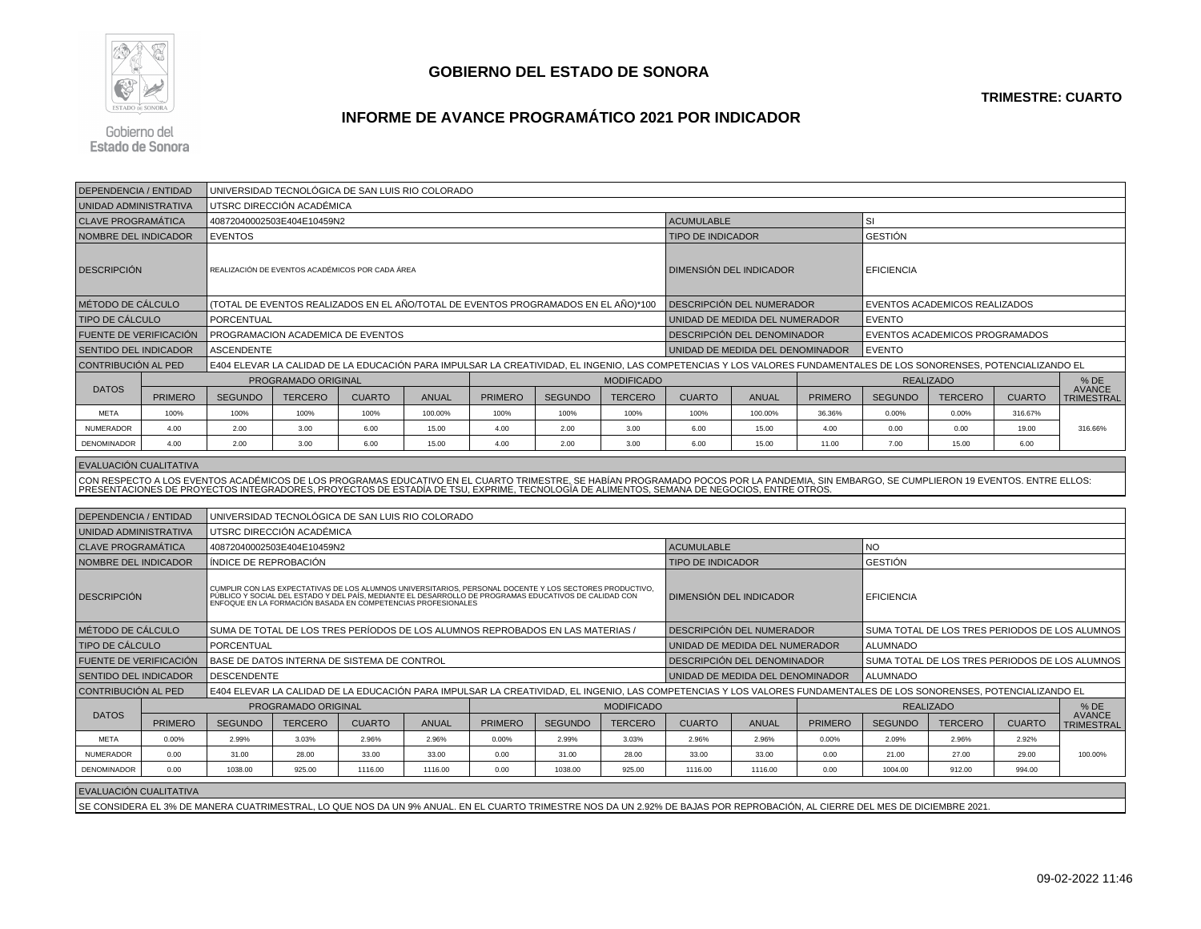

# **INFORME DE AVANCE PROGRAMÁTICO 2021 POR INDICADOR**

Gobierno del Estado de Sonora

| <b>DEPENDENCIA / ENTIDAD</b> |                | UNIVERSIDAD TECNOLÓGICA DE SAN LUIS RIO COLORADO                                                                                                                    |                            |                                                  |              |                                                                                                                                                                                                                                     |                |                           |                                                                                                                                                                                          |              |                |                               |                                                |               |                             |  |  |
|------------------------------|----------------|---------------------------------------------------------------------------------------------------------------------------------------------------------------------|----------------------------|--------------------------------------------------|--------------|-------------------------------------------------------------------------------------------------------------------------------------------------------------------------------------------------------------------------------------|----------------|---------------------------|------------------------------------------------------------------------------------------------------------------------------------------------------------------------------------------|--------------|----------------|-------------------------------|------------------------------------------------|---------------|-----------------------------|--|--|
| UNIDAD ADMINISTRATIVA        |                |                                                                                                                                                                     | UTSRC DIRECCIÓN ACADÉMICA  |                                                  |              |                                                                                                                                                                                                                                     |                |                           |                                                                                                                                                                                          |              |                |                               |                                                |               |                             |  |  |
| <b>CLAVE PROGRAMATICA</b>    |                |                                                                                                                                                                     | 40872040002503E404E10459N2 |                                                  |              |                                                                                                                                                                                                                                     |                |                           | <b>ACUMULABLE</b>                                                                                                                                                                        |              |                | SI                            |                                                |               |                             |  |  |
| <b>NOMBRE DEL INDICADOR</b>  |                | <b>EVENTOS</b>                                                                                                                                                      |                            |                                                  |              |                                                                                                                                                                                                                                     |                |                           | <b>TIPO DE INDICADOR</b>                                                                                                                                                                 |              |                | GESTIÓN                       |                                                |               |                             |  |  |
| <b>DESCRIPCIÓN</b>           |                |                                                                                                                                                                     |                            | REALIZACIÓN DE EVENTOS ACADÉMICOS POR CADA ÁREA  |              |                                                                                                                                                                                                                                     |                |                           | DIMENSIÓN DEL INDICADOR                                                                                                                                                                  |              |                | <b>EFICIENCIA</b>             |                                                |               |                             |  |  |
| MÉTODO DE CÁLCULO            |                |                                                                                                                                                                     |                            |                                                  |              | (TOTAL DE EVENTOS REALIZADOS EN EL AÑO/TOTAL DE EVENTOS PROGRAMADOS EN EL AÑO)*100                                                                                                                                                  |                | DESCRIPCIÓN DEL NUMERADOR |                                                                                                                                                                                          |              |                | EVENTOS ACADEMICOS REALIZADOS |                                                |               |                             |  |  |
| TIPO DE CÁLCULO              |                | PORCENTUAL                                                                                                                                                          |                            |                                                  |              |                                                                                                                                                                                                                                     |                |                           | UNIDAD DE MEDIDA DEL NUMERADOR                                                                                                                                                           |              |                | <b>EVENTO</b>                 |                                                |               |                             |  |  |
| FUENTE DE VERIFICACIÓN       |                |                                                                                                                                                                     |                            | PROGRAMACION ACADEMICA DE EVENTOS                |              |                                                                                                                                                                                                                                     |                |                           | DESCRIPCIÓN DEL DENOMINADOR                                                                                                                                                              |              |                |                               | EVENTOS ACADEMICOS PROGRAMADOS                 |               |                             |  |  |
| <b>SENTIDO DEL INDICADOR</b> |                | <b>ASCENDENTE</b>                                                                                                                                                   |                            |                                                  |              |                                                                                                                                                                                                                                     |                |                           | UNIDAD DE MEDIDA DEL DENOMINADOR                                                                                                                                                         |              |                | <b>EVENTO</b>                 |                                                |               |                             |  |  |
| <b>CONTRIBUCION AL PED</b>   |                | E404 ELEVAR LA CALIDAD DE LA EDUCACIÓN PARA IMPULSAR LA CREATIVIDAD, EL INGENIO, LAS COMPETENCIAS Y LOS VALORES FUNDAMENTALES DE LOS SONORENSES, POTENCIALIZANDO EL |                            |                                                  |              |                                                                                                                                                                                                                                     |                |                           |                                                                                                                                                                                          |              |                |                               |                                                |               |                             |  |  |
|                              |                |                                                                                                                                                                     | PROGRAMADO ORIGINAL        |                                                  |              |                                                                                                                                                                                                                                     |                | <b>MODIFICADO</b>         |                                                                                                                                                                                          |              |                |                               | <b>REALIZADO</b>                               |               | $%$ DE<br><b>AVANCE</b>     |  |  |
| <b>DATOS</b>                 | <b>PRIMERO</b> | <b>SEGUNDO</b>                                                                                                                                                      | <b>TERCERO</b>             | <b>CUARTO</b>                                    | <b>ANUAL</b> | <b>PRIMERO</b>                                                                                                                                                                                                                      | <b>SEGUNDO</b> | <b>TERCERO</b>            | <b>CUARTO</b><br><b>ANUAL</b>                                                                                                                                                            |              | <b>PRIMERO</b> | <b>SEGUNDO</b>                | <b>TERCERO</b>                                 | <b>CUARTO</b> |                             |  |  |
| <b>META</b>                  | 100%           | 100%                                                                                                                                                                | 100%                       | 100%                                             | 100.00%      | 100%                                                                                                                                                                                                                                | 100%           | 100%                      | 100%                                                                                                                                                                                     | 100.00%      | 36.36%         | 0.00%                         | 0.00%                                          | 316,67%       | <b>TRIMESTRAL</b>           |  |  |
| NUMERADOR                    | 4.00           | 2.00                                                                                                                                                                | 3.00                       | 6.00                                             | 15.00        | 4.00                                                                                                                                                                                                                                | 2.00           | 3.00                      | 6.00                                                                                                                                                                                     | 15.00        | 4.00           | 0.00                          | 0.00                                           | 19.00         | 316.66%                     |  |  |
| <b>DENOMINADOR</b>           | 4.00           | 2.00                                                                                                                                                                | 3.00                       | 6.00                                             | 15.00        | 4.00                                                                                                                                                                                                                                | 2.00           | 3.00                      | 6.00                                                                                                                                                                                     | 15.00        | 11.00          | 7.00                          | 15.00                                          | 6.00          |                             |  |  |
| EVALUACIÓN CUALITATIVA       |                |                                                                                                                                                                     |                            |                                                  |              |                                                                                                                                                                                                                                     |                |                           |                                                                                                                                                                                          |              |                |                               |                                                |               |                             |  |  |
|                              |                |                                                                                                                                                                     |                            |                                                  |              |                                                                                                                                                                                                                                     |                |                           | CON RESPECTO A LOS EVENTOS ACADÉMICOS DE LOS PROGRAMAS EDUCATIVO EN EL CUARTO TRIMESTRE, SE HABÍAN PROGRAMADO POCOS POR LA PANDEMIA, SIN EMBARGO, SE CUMPLIERON 19 EVENTOS. ENTRE ELLOS: |              |                |                               |                                                |               |                             |  |  |
|                              |                |                                                                                                                                                                     |                            |                                                  |              |                                                                                                                                                                                                                                     |                |                           | PRESENTACIONES DE PROYECTOS INTEGRADORES, PROYECTOS DE ESTADÍA DE TSU, EXPRIME, TECNOLOGÍA DE ALIMENTOS, SEMANA DE NEGOCIOS, ENTRE OTROS                                                 |              |                |                               |                                                |               |                             |  |  |
|                              |                |                                                                                                                                                                     |                            |                                                  |              |                                                                                                                                                                                                                                     |                |                           |                                                                                                                                                                                          |              |                |                               |                                                |               |                             |  |  |
| <b>DEPENDENCIA / ENTIDAD</b> |                |                                                                                                                                                                     |                            | UNIVERSIDAD TECNOLÓGICA DE SAN LUIS RIO COLORADO |              |                                                                                                                                                                                                                                     |                |                           |                                                                                                                                                                                          |              |                |                               |                                                |               |                             |  |  |
| UNIDAD ADMINISTRATIVA        |                |                                                                                                                                                                     | UTSRC DIRECCIÓN ACADÉMICA  |                                                  |              |                                                                                                                                                                                                                                     |                |                           |                                                                                                                                                                                          |              |                |                               |                                                |               |                             |  |  |
| <b>CLAVE PROGRAMÁTICA</b>    |                |                                                                                                                                                                     | 40872040002503E404E10459N2 |                                                  |              |                                                                                                                                                                                                                                     |                |                           | <b>ACUMULABLE</b>                                                                                                                                                                        |              |                | <b>NO</b>                     |                                                |               |                             |  |  |
| NOMBRE DEL INDICADOR         |                | ÍNDICE DE REPROBACIÓN                                                                                                                                               |                            |                                                  |              |                                                                                                                                                                                                                                     |                |                           | <b>GESTIÓN</b><br><b>TIPO DE INDICADOR</b>                                                                                                                                               |              |                |                               |                                                |               |                             |  |  |
| <b>DESCRIPCIÓN</b>           |                |                                                                                                                                                                     |                            |                                                  |              | l CUMPLIR CON LAS EXPECTATIVAS DE LOS ALUMNOS UNIVERSITARIOS, PERSONAL DOCENTE Y LOS SECTORES PRODUCTIVO,<br>  PÚBLICO Y SOCIAL DEL ESTADO Y DEL PAÍS, MEDIANTE EL DESARROLLO DE PROGRAMAS EDUCATIVOS DE CALIDAD CON<br>  ENFOQUE E |                |                           | DIMENSIÓN DEL INDICADOR                                                                                                                                                                  |              |                | <b>EFICIENCIA</b>             |                                                |               |                             |  |  |
| MÉTODO DE CÁLCULO            |                |                                                                                                                                                                     |                            |                                                  |              | SUMA DE TOTAL DE LOS TRES PERÍODOS DE LOS ALUMNOS REPROBADOS EN LAS MATERIAS /                                                                                                                                                      |                |                           | DESCRIPCIÓN DEL NUMERADOR                                                                                                                                                                |              |                |                               | SUMA TOTAL DE LOS TRES PERIODOS DE LOS ALUMNOS |               |                             |  |  |
| TIPO DE CÁLCULO              |                | <b>PORCENTUAL</b>                                                                                                                                                   |                            |                                                  |              |                                                                                                                                                                                                                                     |                |                           | UNIDAD DE MEDIDA DEL NUMERADOR                                                                                                                                                           |              |                | <b>ALUMNADO</b>               |                                                |               |                             |  |  |
| FUENTE DE VERIFICACIÓN       |                |                                                                                                                                                                     |                            | BASE DE DATOS INTERNA DE SISTEMA DE CONTROL      |              |                                                                                                                                                                                                                                     |                |                           | DESCRIPCIÓN DEL DENOMINADOR                                                                                                                                                              |              |                |                               | SUMA TOTAL DE LOS TRES PERIODOS DE LOS ALUMNOS |               |                             |  |  |
| SENTIDO DEL INDICADOR        |                | <b>DESCENDENTE</b>                                                                                                                                                  |                            |                                                  |              |                                                                                                                                                                                                                                     |                |                           | UNIDAD DE MEDIDA DEL DENOMINADOR                                                                                                                                                         |              |                | <b>ALUMNADO</b>               |                                                |               |                             |  |  |
| <b>CONTRIBUCIÓN AL PED</b>   |                |                                                                                                                                                                     |                            |                                                  |              |                                                                                                                                                                                                                                     |                |                           | E404 ELEVAR LA CALIDAD DE LA EDUCACIÓN PARA IMPULSAR LA CREATIVIDAD, EL INGENIO, LAS COMPETENCIAS Y LOS VALORES FUNDAMENTALES DE LOS SONORENSES, POTENCIALIZANDO EL                      |              |                |                               |                                                |               |                             |  |  |
|                              |                |                                                                                                                                                                     | PROGRAMADO ORIGINAL        |                                                  |              |                                                                                                                                                                                                                                     |                | <b>MODIFICADO</b>         |                                                                                                                                                                                          |              |                |                               | <b>REALIZADO</b>                               |               | $%$ DE                      |  |  |
| <b>DATOS</b>                 | <b>PRIMERO</b> | <b>SEGUNDO</b>                                                                                                                                                      | <b>TERCERO</b>             | <b>CUARTO</b>                                    | <b>ANUAL</b> | <b>PRIMERO</b>                                                                                                                                                                                                                      | <b>SEGUNDO</b> | <b>TERCERO</b>            | <b>CUARTO</b>                                                                                                                                                                            | <b>ANUAL</b> | <b>PRIMERO</b> | <b>SEGUNDO</b>                | <b>TERCERO</b>                                 | <b>CUARTO</b> | <b>AVANCE</b><br>TRIMESTRAL |  |  |
| <b>META</b>                  | 0.00%          | 2.99%                                                                                                                                                               | 3.03%                      | 2.96%                                            | 2.96%        | 0.00%                                                                                                                                                                                                                               | 2.99%          | 3.03%                     | 2.96%                                                                                                                                                                                    | 2.96%        | 0.00%          | 2.09%                         | 2.96%                                          | 2.92%         |                             |  |  |
| NUMERADOR                    | 0.00           | 31.00                                                                                                                                                               | 28.00                      | 33.00                                            | 33.00        | 0.00                                                                                                                                                                                                                                | 31.00          | 28.00                     | 33.00                                                                                                                                                                                    | 33.00        | 0.00           | 21.00                         | 27.00                                          | 29.00         | 100.00%                     |  |  |
| DENOMINADOR                  | 0.00           | 1038.00                                                                                                                                                             | 925.00                     | 1116.00                                          | 1116.00      | 0.00                                                                                                                                                                                                                                | 1038.00        | 925.00                    | 1116.00                                                                                                                                                                                  | 1116.00      | 0.00           | 1004.00                       | 912.00                                         | 994.00        |                             |  |  |
| EVALUACIÓN CUALITATIVA       |                |                                                                                                                                                                     |                            |                                                  |              |                                                                                                                                                                                                                                     |                |                           |                                                                                                                                                                                          |              |                |                               |                                                |               |                             |  |  |
|                              |                |                                                                                                                                                                     |                            |                                                  |              |                                                                                                                                                                                                                                     |                |                           | SE CONSIDERA EL 3% DE MANERA CUATRIMESTRAL, LO QUE NOS DA UN 9% ANUAL. EN EL CUARTO TRIMESTRE NOS DA UN 2.92% DE BAJAS POR REPROBACIÓN, AL CIERRE DEL MES DE DICIEMBRE 2021.             |              |                |                               |                                                |               |                             |  |  |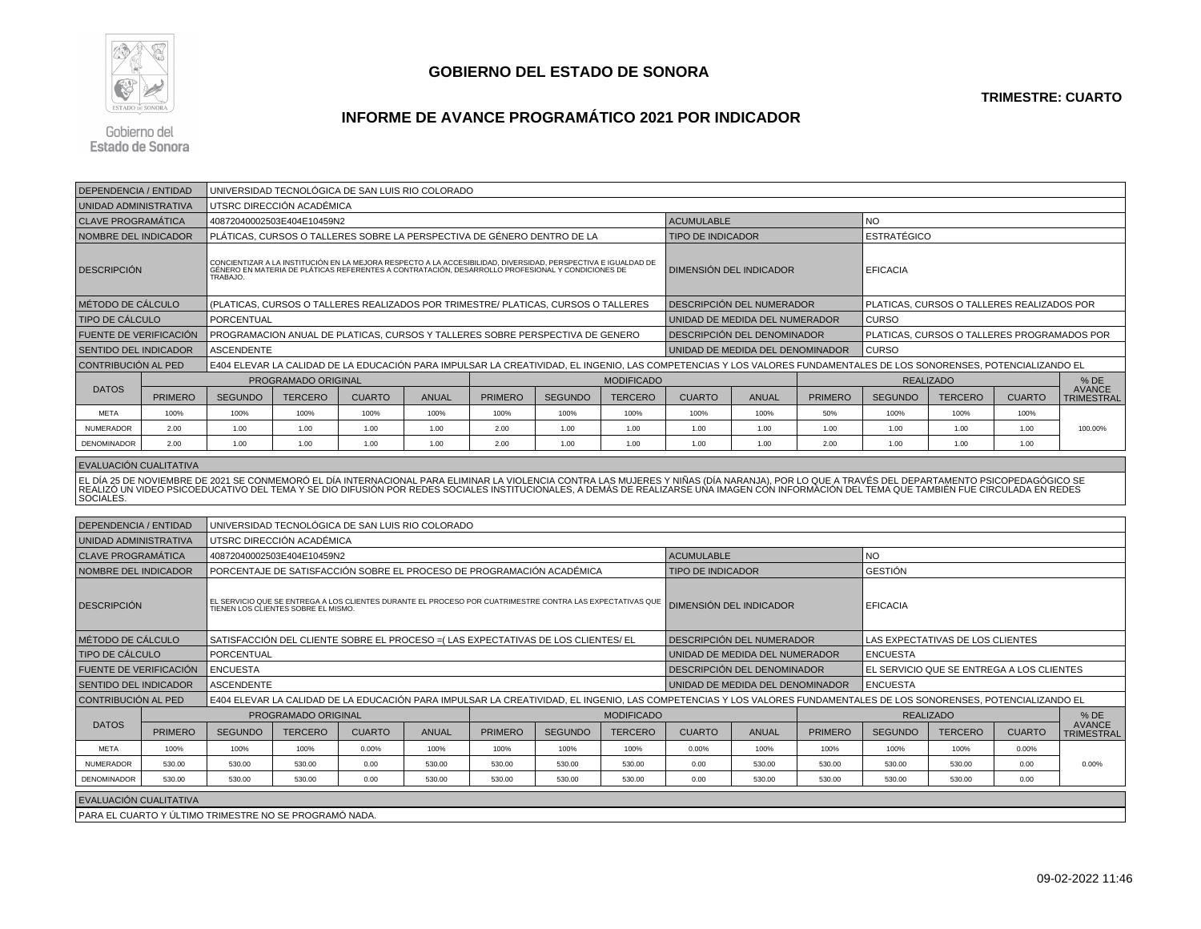

#### **TRIMESTRE: CUARTO**

# **INFORME DE AVANCE PROGRAMÁTICO 2021 POR INDICADOR**

Gobierno del **Estado de Sonora** 

| <b>DEPENDENCIA / ENTIDAD</b>                                              |                |                                                                                                                                                                                                                                  | UNIVERSIDAD TECNOLÓGICA DE SAN LUIS RIO COLORADO |               |              |                                                                                                                                                                                                                   |                |                                  |                                |                                                |                                             |                  |                                            |               |                                    |  |
|---------------------------------------------------------------------------|----------------|----------------------------------------------------------------------------------------------------------------------------------------------------------------------------------------------------------------------------------|--------------------------------------------------|---------------|--------------|-------------------------------------------------------------------------------------------------------------------------------------------------------------------------------------------------------------------|----------------|----------------------------------|--------------------------------|------------------------------------------------|---------------------------------------------|------------------|--------------------------------------------|---------------|------------------------------------|--|
| UNIDAD ADMINISTRATIVA                                                     |                |                                                                                                                                                                                                                                  | UTSRC DIRECCIÓN ACADÉMICA                        |               |              |                                                                                                                                                                                                                   |                |                                  |                                |                                                |                                             |                  |                                            |               |                                    |  |
| <b>CLAVE PROGRAMÁTICA</b>                                                 |                |                                                                                                                                                                                                                                  | 40872040002503E404E10459N2                       |               |              |                                                                                                                                                                                                                   |                |                                  | <b>ACUMULABLE</b>              |                                                |                                             | <b>NO</b>        |                                            |               |                                    |  |
| NOMBRE DEL INDICADOR                                                      |                |                                                                                                                                                                                                                                  |                                                  |               |              | PLÁTICAS. CURSOS O TALLERES SOBRE LA PERSPECTIVA DE GÉNERO DENTRO DE LA                                                                                                                                           |                |                                  |                                | <b>ESTRATÉGICO</b><br><b>TIPO DE INDICADOR</b> |                                             |                  |                                            |               |                                    |  |
| <b>DESCRIPCIÓN</b>                                                        |                | TRABAJO.                                                                                                                                                                                                                         |                                                  |               |              | CONCIENTIZAR A LA INSTITUCIÓN EN LA MEJORA RESPECTO A LA ACCESIBILIDAD, DIVERSIDAD, PERSPECTIVA E IGUALDAD DE<br>GÉNERO EN MATERIA DE PLÁTICAS REFERENTES A CONTRATACIÓN, DESARROLLO PROFESIONAL Y CONDICIONES DE |                | <b>DIMENSIÓN DEL INDICADOR</b>   |                                |                                                | <b>EFICACIA</b>                             |                  |                                            |               |                                    |  |
| MÉTODO DE CÁLCULO                                                         |                |                                                                                                                                                                                                                                  |                                                  |               |              | (PLATICAS, CURSOS O TALLERES REALIZADOS POR TRIMESTRE/ PLATICAS, CURSOS O TALLERES                                                                                                                                |                |                                  | DESCRIPCIÓN DEL NUMERADOR      |                                                |                                             |                  | PLATICAS, CURSOS O TALLERES REALIZADOS POR |               |                                    |  |
| <b>TIPO DE CÁLCULO</b>                                                    |                | <b>PORCENTUAL</b>                                                                                                                                                                                                                |                                                  |               |              |                                                                                                                                                                                                                   |                |                                  | UNIDAD DE MEDIDA DEL NUMERADOR |                                                |                                             | <b>CURSO</b>     |                                            |               |                                    |  |
| <b>FUENTE DE VERIFICACIÓN</b>                                             |                |                                                                                                                                                                                                                                  |                                                  |               |              | PROGRAMACION ANUAL DE PLATICAS, CURSOS Y TALLERES SOBRE PERSPECTIVA DE GENERO                                                                                                                                     |                | DESCRIPCIÓN DEL DENOMINADOR      |                                |                                                | PLATICAS, CURSOS O TALLERES PROGRAMADOS POR |                  |                                            |               |                                    |  |
| <b>SENTIDO DEL INDICADOR</b>                                              |                | <b>ASCENDENTE</b>                                                                                                                                                                                                                |                                                  |               |              |                                                                                                                                                                                                                   |                | UNIDAD DE MEDIDA DEL DENOMINADOR |                                |                                                | <b>CURSO</b>                                |                  |                                            |               |                                    |  |
| CONTRIBUCIÓN AL PED                                                       |                | E404 ELEVAR LA CALIDAD DE LA EDUCACIÓN PARA IMPULSAR LA CREATIVIDAD. EL INGENIO, LAS COMPETENCIAS Y LOS VALORES FUNDAMENTALES DE LOS SONORENSES, POTENCIALIZANDO EL                                                              |                                                  |               |              |                                                                                                                                                                                                                   |                |                                  |                                |                                                |                                             |                  |                                            |               |                                    |  |
|                                                                           |                | PROGRAMADO ORIGINAL                                                                                                                                                                                                              |                                                  |               |              |                                                                                                                                                                                                                   |                | <b>MODIFICADO</b>                |                                |                                                |                                             | <b>REALIZADO</b> |                                            |               | $%$ DE                             |  |
| <b>DATOS</b>                                                              | <b>PRIMERO</b> | <b>SEGUNDO</b>                                                                                                                                                                                                                   | <b>TERCERO</b>                                   | <b>CUARTO</b> | <b>ANUAL</b> | <b>PRIMERO</b>                                                                                                                                                                                                    | <b>SEGUNDO</b> | <b>TERCERO</b>                   | <b>CUARTO</b>                  | <b>ANUAL</b>                                   | <b>PRIMERO</b>                              | <b>SEGUNDO</b>   | <b>TERCERO</b>                             | <b>CUARTO</b> | <b>AVANCE</b><br><b>TRIMESTRAL</b> |  |
| <b>META</b>                                                               | 100%           | 100%                                                                                                                                                                                                                             | 100%                                             | 100%          | 100%         | 100%                                                                                                                                                                                                              | 100%           | 100%                             | 100%                           | 100%                                           | 50%                                         | 100%             | 100%                                       | 100%          |                                    |  |
| <b>NUMERADOR</b>                                                          | 2.00           | 1.00                                                                                                                                                                                                                             | 1.00                                             | 1.00          | 1.00         | 2.00                                                                                                                                                                                                              | 1.00           | 1.00                             | 1.00                           | 1.00                                           | 1.00                                        | 1.00             | 1.00                                       | 1.00          | 100.00%                            |  |
| <b>DENOMINADOR</b>                                                        | 2.00           | 1.00                                                                                                                                                                                                                             | 1.00                                             | 1.00          | 1.00         | 2.00                                                                                                                                                                                                              | 1.00           | 1.00                             | 1.00                           | 1.00                                           | 2.00                                        | 1.00             | 1.00                                       | 1.00          |                                    |  |
| EVALUACIÓN CUALITATIVA                                                    |                |                                                                                                                                                                                                                                  |                                                  |               |              |                                                                                                                                                                                                                   |                |                                  |                                |                                                |                                             |                  |                                            |               |                                    |  |
| SOCIALES.                                                                 |                | EL DÍA 25 DE NOVIEMBRE DE 2021 SE CONMEMORÓ EL DÍA INTERNACIONAL PARA ELIMINAR LA VIOLENCIA CONTRA LAS MUJERES Y NIÑAS (DÍA NARANJA), POR LO QUE A TRAVÉS DEL DEPARTAMENTO PSICOPEDAGÓGICO SE<br>∣REALIZÓ UN VIDEO PSICOEDUCATIV |                                                  |               |              |                                                                                                                                                                                                                   |                |                                  |                                |                                                |                                             |                  |                                            |               |                                    |  |
|                                                                           |                |                                                                                                                                                                                                                                  |                                                  |               |              |                                                                                                                                                                                                                   |                |                                  |                                |                                                |                                             |                  |                                            |               |                                    |  |
| UNIVERSIDAD TECNOLÓGICA DE SAN LUIS RIO COLORADO<br>DEPENDENCIA / ENTIDAD |                |                                                                                                                                                                                                                                  |                                                  |               |              |                                                                                                                                                                                                                   |                |                                  |                                |                                                |                                             |                  |                                            |               |                                    |  |
| <b>ILINUDAD ADMINICTDATIVA</b>                                            |                |                                                                                                                                                                                                                                  | <b>ITODO DIDEOQIÓN AO ADÉMIO A</b>               |               |              |                                                                                                                                                                                                                   |                |                                  |                                |                                                |                                             |                  |                                            |               |                                    |  |

| UNIDAD ADMINISTRATIVA                            |                                                                                               |                                           | UTSRC DIRECCIÓN ACADÉMICA                                                                                                                                           |               |              |                |                |                                |                                    |                                  |                 |                                  |                                           |               |                             |  |
|--------------------------------------------------|-----------------------------------------------------------------------------------------------|-------------------------------------------|---------------------------------------------------------------------------------------------------------------------------------------------------------------------|---------------|--------------|----------------|----------------|--------------------------------|------------------------------------|----------------------------------|-----------------|----------------------------------|-------------------------------------------|---------------|-----------------------------|--|
| <b>CLAVE PROGRAMÁTICA</b>                        |                                                                                               |                                           | 40872040002503E404E10459N2                                                                                                                                          |               |              |                |                |                                | <b>ACUMULABLE</b>                  |                                  |                 | <b>NO</b>                        |                                           |               |                             |  |
|                                                  | PORCENTAJE DE SATISFACCIÓN SOBRE EL PROCESO DE PROGRAMACIÓN ACADÉMICA<br>NOMBRE DEL INDICADOR |                                           |                                                                                                                                                                     |               |              |                |                |                                |                                    |                                  |                 | <b>GESTIÓN</b>                   |                                           |               |                             |  |
| <b>DESCRIPCIÓN</b>                               |                                                                                               |                                           | EL SERVICIO QUE SE ENTREGA A LOS CLIENTES DURANTE EL PROCESO POR CUATRIMESTRE CONTRA LAS EXPECTATIVAS QUE  <br>TIENEN LOS CLIENTES SOBRE EL MISMO.                  |               |              |                |                | <b>DIMENSIÓN DEL INDICADOR</b> |                                    |                                  | <b>EFICACIA</b> |                                  |                                           |               |                             |  |
| MÉTODO DE CÁLCULO                                |                                                                                               |                                           | SATISFACCIÓN DEL CLIENTE SOBRE EL PROCESO = (LAS EXPECTATIVAS DE LOS CLIENTES/ EL                                                                                   |               |              |                |                |                                | <b>DESCRIPCIÓN DEL NUMERADOR</b>   |                                  |                 | LAS EXPECTATIVAS DE LOS CLIENTES |                                           |               |                             |  |
|                                                  | <b>TIPO DE CÁLCULO</b><br><b>PORCENTUAL</b>                                                   |                                           |                                                                                                                                                                     |               |              |                |                |                                |                                    | I UNIDAD DE MEDIDA DEL NUMERADOR |                 |                                  | <b>ENCUESTA</b>                           |               |                             |  |
| <b>FUENTE DE VERIFICACIÓN</b><br><b>ENCUESTA</b> |                                                                                               |                                           |                                                                                                                                                                     |               |              |                |                |                                | I DESCRIPCIÓN DEL DENOMINADOR      |                                  |                 |                                  | EL SERVICIO QUE SE ENTREGA A LOS CLIENTES |               |                             |  |
| <b>SENTIDO DEL INDICADOR</b>                     |                                                                                               | <b>ASCENDENTE</b>                         |                                                                                                                                                                     |               |              |                |                |                                | I UNIDAD DE MEDIDA DEL DENOMINADOR |                                  |                 | I ENCUESTA                       |                                           |               |                             |  |
| CONTRIBUCIÓN AL PED                              |                                                                                               |                                           | E404 ELEVAR LA CALIDAD DE LA EDUCACIÓN PARA IMPULSAR LA CREATIVIDAD, EL INGENIO, LAS COMPETENCIAS Y LOS VALORES FUNDAMENTALES DE LOS SONORENSES, POTENCIALIZANDO EL |               |              |                |                |                                |                                    |                                  |                 |                                  |                                           |               |                             |  |
|                                                  |                                                                                               | <b>MODIFICADO</b><br>PROGRAMADO ORIGINAL  |                                                                                                                                                                     |               |              |                |                |                                |                                    |                                  |                 | <b>REALIZADO</b>                 |                                           |               | $%$ DE                      |  |
| <b>DATOS</b>                                     | <b>PRIMERO</b>                                                                                | <b>SEGUNDO</b>                            | <b>TERCERO</b>                                                                                                                                                      | <b>CUARTO</b> | <b>ANUAL</b> | <b>PRIMERO</b> | <b>SEGUNDO</b> | <b>TERCERO</b>                 | <b>CUARTO</b>                      | <b>ANUAL</b>                     | <b>PRIMERO</b>  | <b>SEGUNDO</b>                   | <b>TERCERO</b>                            | <b>CUARTO</b> | AVANCE<br><b>TRIMESTRAL</b> |  |
| <b>META</b>                                      | 100%                                                                                          | 100%                                      | 100%                                                                                                                                                                | 0.00%         | 100%         | 100%           | 100%           | 100%                           | 0.00%                              | 100%                             | 100%            | 100%                             | 100%                                      | $0.00\%$      |                             |  |
| <b>NUMERADOR</b>                                 | 530.00                                                                                        | 530.00                                    | 530.00                                                                                                                                                              | 0.00          | 530.00       | 530.00         | 530.00         | 530.00                         | 0.00                               | 530.00                           | 530.00          | 530.00                           | 530.00                                    | 0.00          | 0.00%                       |  |
| DENOMINADOR                                      | 530.00                                                                                        | 530.00                                    | 530.00                                                                                                                                                              | 0.00          | 530.00       | 530.00         | 530.00         | 530.00                         | 0.00                               | 530.00                           | 530.00          | 530.00                           | 530.00                                    | 0.00          |                             |  |
| EVALUACIÓN CUALITATIVA                           |                                                                                               | . _ . _. _. _ _ _ _ _ _ _ _ _ _ _ _ _ _ _ |                                                                                                                                                                     |               |              |                |                |                                |                                    |                                  |                 |                                  |                                           |               |                             |  |

PARA EL CUARTO Y ÚLTIMO TRIMESTRE NO SE PROGRAMÓ NADA.